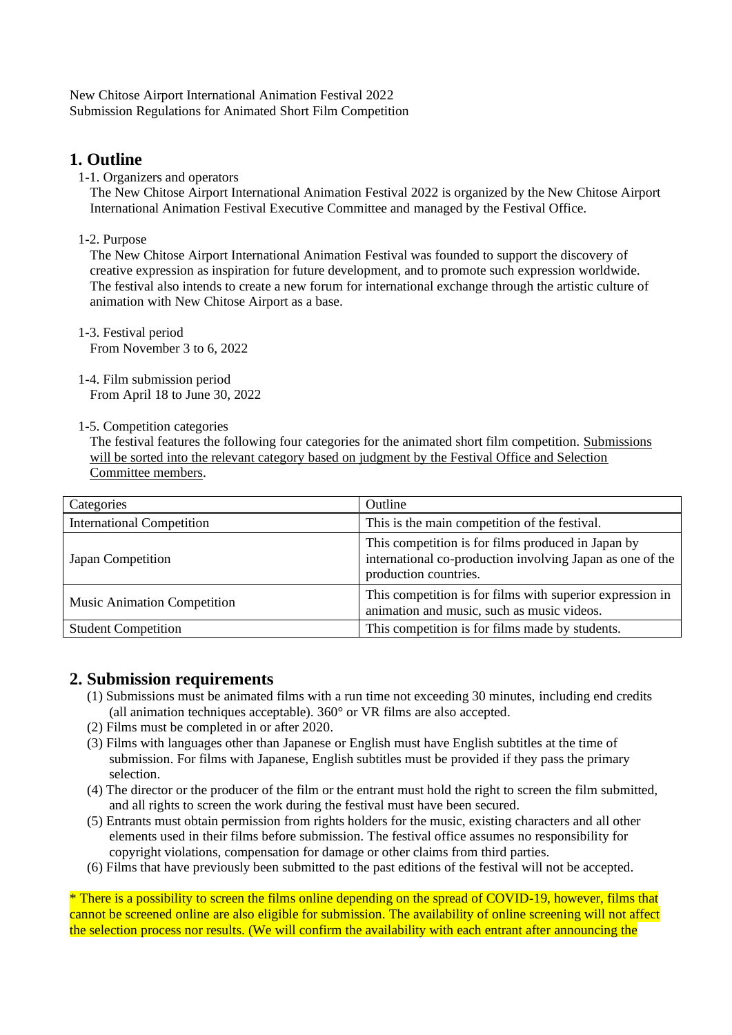New Chitose Airport International Animation Festival 2022 Submission Regulations for Animated Short Film Competition

# **1. Outline**

1-1. Organizers and operators

The New Chitose Airport International Animation Festival 2022 is organized by the New Chitose Airport International Animation Festival Executive Committee and managed by the Festival Office.

1-2. Purpose

The New Chitose Airport International Animation Festival was founded to support the discovery of creative expression as inspiration for future development, and to promote such expression worldwide. The festival also intends to create a new forum for international exchange through the artistic culture of animation with New Chitose Airport as a base.

- 1-3. Festival period From November 3 to 6, 2022
- 1-4. Film submission period From April 18 to June 30, 2022

#### 1-5. Competition categories

The festival features the following four categories for the animated short film competition. Submissions will be sorted into the relevant category based on judgment by the Festival Office and Selection Committee members.

| Categories                         | Outline                                                                                                                                  |
|------------------------------------|------------------------------------------------------------------------------------------------------------------------------------------|
| <b>International Competition</b>   | This is the main competition of the festival.                                                                                            |
| Japan Competition                  | This competition is for films produced in Japan by<br>international co-production involving Japan as one of the<br>production countries. |
| <b>Music Animation Competition</b> | This competition is for films with superior expression in<br>animation and music, such as music videos.                                  |
| <b>Student Competition</b>         | This competition is for films made by students.                                                                                          |

# **2. Submission requirements**

- (1) Submissions must be animated films with a run time not exceeding 30 minutes, including end credits (all animation techniques acceptable). 360° or VR films are also accepted.
- (2) Films must be completed in or after 2020.
- (3) Films with languages other than Japanese or English must have English subtitles at the time of submission. For films with Japanese, English subtitles must be provided if they pass the primary selection.
- (4) The director or the producer of the film or the entrant must hold the right to screen the film submitted, and all rights to screen the work during the festival must have been secured.
- (5) Entrants must obtain permission from rights holders for the music, existing characters and all other elements used in their films before submission. The festival office assumes no responsibility for copyright violations, compensation for damage or other claims from third parties.
- (6) Films that have previously been submitted to the past editions of the festival will not be accepted.

\* There is a possibility to screen the films online depending on the spread of COVID-19, however, films that cannot be screened online are also eligible for submission. The availability of online screening will not affect the selection process nor results. (We will confirm the availability with each entrant after announcing the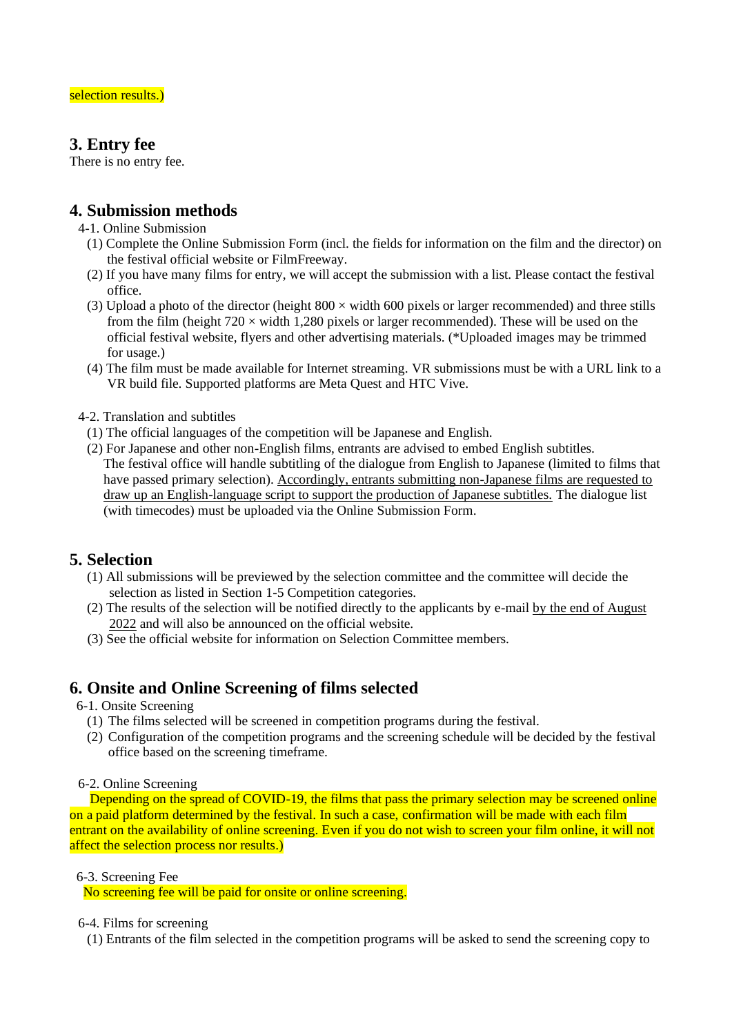# **3. Entry fee**

There is no entry fee.

### **4. Submission methods**

- 4-1. Online Submission
	- (1) Complete the Online Submission Form (incl. the fields for information on the film and the director) on the festival official website or FilmFreeway.
	- (2) If you have many films for entry, we will accept the submission with a list. Please contact the festival office.
	- (3) Upload a photo of the director (height  $800 \times$  width 600 pixels or larger recommended) and three stills from the film (height  $720 \times$  width 1,280 pixels or larger recommended). These will be used on the official festival website, flyers and other advertising materials. (\*Uploaded images may be trimmed for usage.)
	- (4) The film must be made available for Internet streaming. VR submissions must be with a URL link to a VR build file. Supported platforms are Meta Quest and HTC Vive.
- 4-2. Translation and subtitles
	- (1) The official languages of the competition will be Japanese and English.
	- (2) For Japanese and other non-English films, entrants are advised to embed English subtitles. The festival office will handle subtitling of the dialogue from English to Japanese (limited to films that have passed primary selection). Accordingly, entrants submitting non-Japanese films are requested to draw up an English-language script to support the production of Japanese subtitles. The dialogue list (with timecodes) must be uploaded via the Online Submission Form.

# **5. Selection**

- (1) All submissions will be previewed by the selection committee and the committee will decide the selection as listed in Section 1-5 Competition categories.
- (2) The results of the selection will be notified directly to the applicants by e-mail by the end of August 2022 and will also be announced on the official website.
- (3) See the official website for information on Selection Committee members.

# **6. Onsite and Online Screening of films selected**

- 6-1. Onsite Screening
	- (1) The films selected will be screened in competition programs during the festival.
	- (2) Configuration of the competition programs and the screening schedule will be decided by the festival office based on the screening timeframe.

#### 6-2. Online Screening

Depending on the spread of COVID-19, the films that pass the primary selection may be screened online on a paid platform determined by the festival. In such a case, confirmation will be made with each film entrant on the availability of online screening. Even if you do not wish to screen your film online, it will not affect the selection process nor results.)

6-3. Screening Fee

No screening fee will be paid for onsite or online screening.

6-4. Films for screening

(1) Entrants of the film selected in the competition programs will be asked to send the screening copy to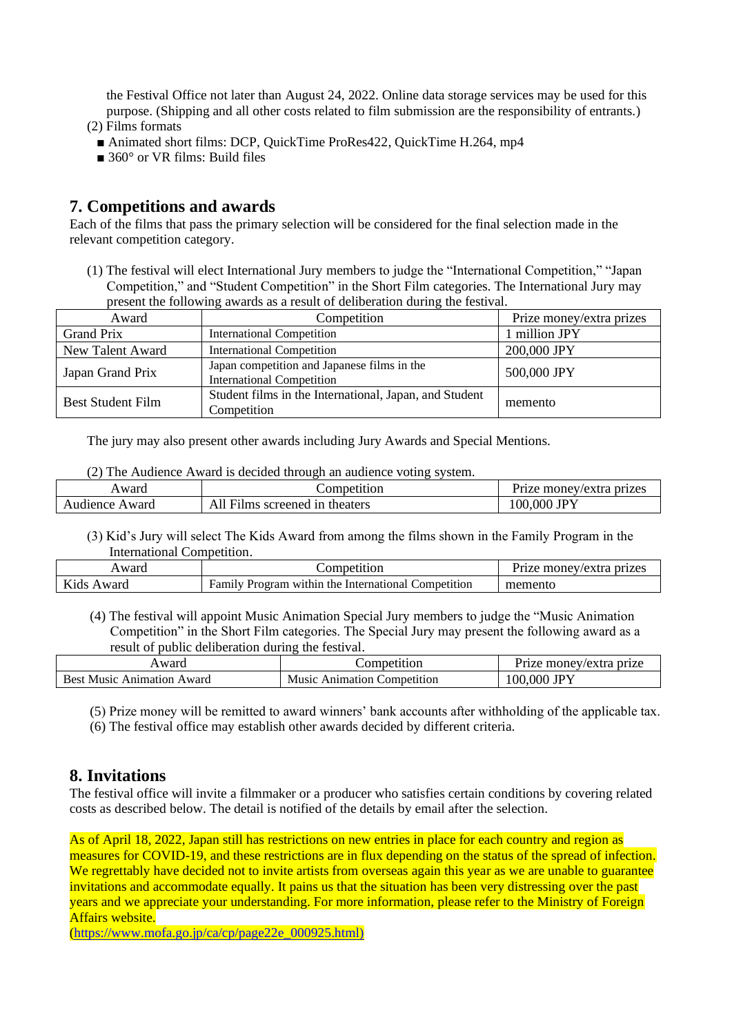the Festival Office not later than August 24, 2022. Online data storage services may be used for this purpose. (Shipping and all other costs related to film submission are the responsibility of entrants.) (2) Films formats

- Animated short films: DCP, QuickTime ProRes422, QuickTime H.264, mp4
- 360° or VR films: Build files

### **7. Competitions and awards**

Each of the films that pass the primary selection will be considered for the final selection made in the relevant competition category.

(1) The festival will elect International Jury members to judge the "International Competition," "Japan Competition," and "Student Competition" in the Short Film categories. The International Jury may present the following awards as a result of deliberation during the festival.

| Award                    | Competition                                                                     | Prize money/extra prizes |
|--------------------------|---------------------------------------------------------------------------------|--------------------------|
| Grand Prix               | <b>International Competition</b>                                                | 1 million JPY            |
| New Talent Award         | <b>International Competition</b>                                                | 200,000 JPY              |
| Japan Grand Prix         | Japan competition and Japanese films in the<br><b>International Competition</b> | 500,000 JPY              |
| <b>Best Student Film</b> | Student films in the International, Japan, and Student<br>Competition           | memento                  |

The jury may also present other awards including Jury Awards and Special Mentions.

|  | (2) The Audience Award is decided through an audience voting system. |  |  |  |  |
|--|----------------------------------------------------------------------|--|--|--|--|
|--|----------------------------------------------------------------------|--|--|--|--|

| Award          | competition                | Prize monev/extra prizes |
|----------------|----------------------------|--------------------------|
| Audience Award | Films screened in theaters | ,000 JPY<br>100.         |

(3) Kid's Jury will select The Kids Award from among the films shown in the Family Program in the International Competition.

| Award         | <b>Competition</b>                                                    | money/extra prizes<br>Prize |
|---------------|-----------------------------------------------------------------------|-----------------------------|
| Kids<br>Award | Program within the<br>: International<br>Competition<br><b>Family</b> | memento                     |

(4) The festival will appoint Music Animation Special Jury members to judge the "Music Animation Competition" in the Short Film categories. The Special Jury may present the following award as a result of public deliberation during the festival.

| ward                                       | netitior.                               | prize<br>$\mu$ nonev/e $\lambda$<br>extra 1 |
|--------------------------------------------|-----------------------------------------|---------------------------------------------|
| Rest<br>Award<br>Anımatıon<br><b>Music</b> | Music<br>competition<br>umation<br>A ni | <b>IDV</b><br>000<br>100                    |

(5) Prize money will be remitted to award winners' bank accounts after withholding of the applicable tax.

(6) The festival office may establish other awards decided by different criteria.

#### **8. Invitations**

The festival office will invite a filmmaker or a producer who satisfies certain conditions by covering related costs as described below. The detail is notified of the details by email after the selection.

As of April 18, 2022, Japan still has restrictions on new entries in place for each country and region as measures for COVID-19, and these restrictions are in flux depending on the status of the spread of infection. We regrettably have decided not to invite artists from overseas again this year as we are unable to guarantee invitations and accommodate equally. It pains us that the situation has been very distressing over the past years and we appreciate your understanding. For more information, please refer to the Ministry of Foreign Affairs website.

[\(https://www.mofa.go.jp/ca/cp/page22e\\_000925.html\)](https://www.mofa.go.jp/ca/cp/page22e_000925.html))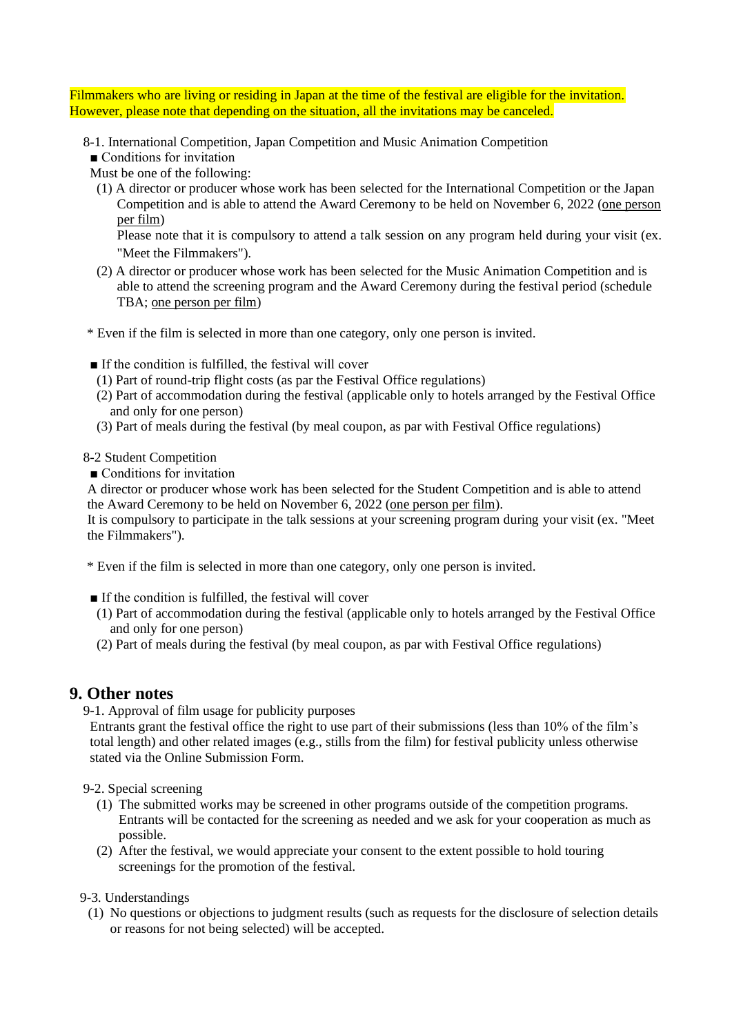Filmmakers who are living or residing in Japan at the time of the festival are eligible for the invitation. However, please note that depending on the situation, all the invitations may be canceled.

8-1. International Competition, Japan Competition and Music Animation Competition

■ Conditions for invitation

Must be one of the following:

(1) A director or producer whose work has been selected for the International Competition or the Japan Competition and is able to attend the Award Ceremony to be held on November 6, 2022 (one person per film)

Please note that it is compulsory to attend a talk session on any program held during your visit (ex. "Meet the Filmmakers").

(2) A director or producer whose work has been selected for the Music Animation Competition and is able to attend the screening program and the Award Ceremony during the festival period (schedule TBA; one person per film)

\* Even if the film is selected in more than one category, only one person is invited.

- If the condition is fulfilled, the festival will cover
- (1) Part of round-trip flight costs (as par the Festival Office regulations)
- (2) Part of accommodation during the festival (applicable only to hotels arranged by the Festival Office and only for one person)
- (3) Part of meals during the festival (by meal coupon, as par with Festival Office regulations)

8-2 Student Competition

■ Conditions for invitation

A director or producer whose work has been selected for the Student Competition and is able to attend the Award Ceremony to be held on November 6, 2022 (one person per film).

It is compulsory to participate in the talk sessions at your screening program during your visit (ex. "Meet the Filmmakers").

\* Even if the film is selected in more than one category, only one person is invited.

- If the condition is fulfilled, the festival will cover
- (1) Part of accommodation during the festival (applicable only to hotels arranged by the Festival Office and only for one person)
- (2) Part of meals during the festival (by meal coupon, as par with Festival Office regulations)

#### **9. Other notes**

9-1. Approval of film usage for publicity purposes

Entrants grant the festival office the right to use part of their submissions (less than 10% of the film's total length) and other related images (e.g., stills from the film) for festival publicity unless otherwise stated via the Online Submission Form.

9-2. Special screening

- (1) The submitted works may be screened in other programs outside of the competition programs. Entrants will be contacted for the screening as needed and we ask for your cooperation as much as possible.
- (2) After the festival, we would appreciate your consent to the extent possible to hold touring screenings for the promotion of the festival.

9-3. Understandings

(1) No questions or objections to judgment results (such as requests for the disclosure of selection details or reasons for not being selected) will be accepted.